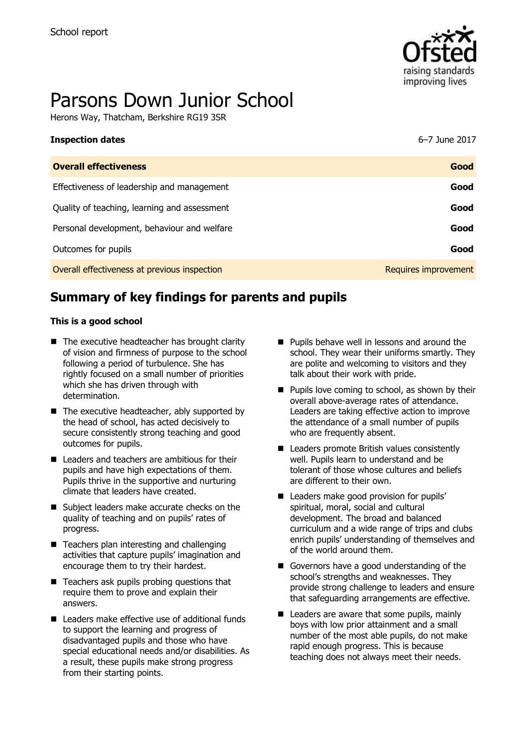

# Parsons Down Junior School

Herons Way, Thatcham, Berkshire RG19 3SR

| <b>Inspection dates</b>                      | 6–7 June 2017        |
|----------------------------------------------|----------------------|
| <b>Overall effectiveness</b>                 | Good                 |
| Effectiveness of leadership and management   | Good                 |
| Quality of teaching, learning and assessment | Good                 |
| Personal development, behaviour and welfare  | Good                 |
| Outcomes for pupils                          | Good                 |
| Overall effectiveness at previous inspection | Requires improvement |

# **Summary of key findings for parents and pupils**

#### **This is a good school**

- $\blacksquare$  The executive headteacher has brought clarity of vision and firmness of purpose to the school following a period of turbulence. She has rightly focused on a small number of priorities which she has driven through with determination.
- $\blacksquare$  The executive headteacher, ably supported by the head of school, has acted decisively to secure consistently strong teaching and good outcomes for pupils.
- Leaders and teachers are ambitious for their pupils and have high expectations of them. Pupils thrive in the supportive and nurturing climate that leaders have created.
- Subject leaders make accurate checks on the quality of teaching and on pupils' rates of progress.
- Teachers plan interesting and challenging activities that capture pupils' imagination and encourage them to try their hardest.
- $\blacksquare$  Teachers ask pupils probing questions that require them to prove and explain their answers.
- Leaders make effective use of additional funds to support the learning and progress of disadvantaged pupils and those who have special educational needs and/or disabilities. As a result, these pupils make strong progress from their starting points.
- **Pupils behave well in lessons and around the** school. They wear their uniforms smartly. They are polite and welcoming to visitors and they talk about their work with pride.
- $\blacksquare$  Pupils love coming to school, as shown by their overall above-average rates of attendance. Leaders are taking effective action to improve the attendance of a small number of pupils who are frequently absent.
- Leaders promote British values consistently well. Pupils learn to understand and be tolerant of those whose cultures and beliefs are different to their own.
- Leaders make good provision for pupils' spiritual, moral, social and cultural development. The broad and balanced curriculum and a wide range of trips and clubs enrich pupils' understanding of themselves and of the world around them.
- Governors have a good understanding of the school's strengths and weaknesses. They provide strong challenge to leaders and ensure that safeguarding arrangements are effective.
- $\blacksquare$  Leaders are aware that some pupils, mainly boys with low prior attainment and a small number of the most able pupils, do not make rapid enough progress. This is because teaching does not always meet their needs.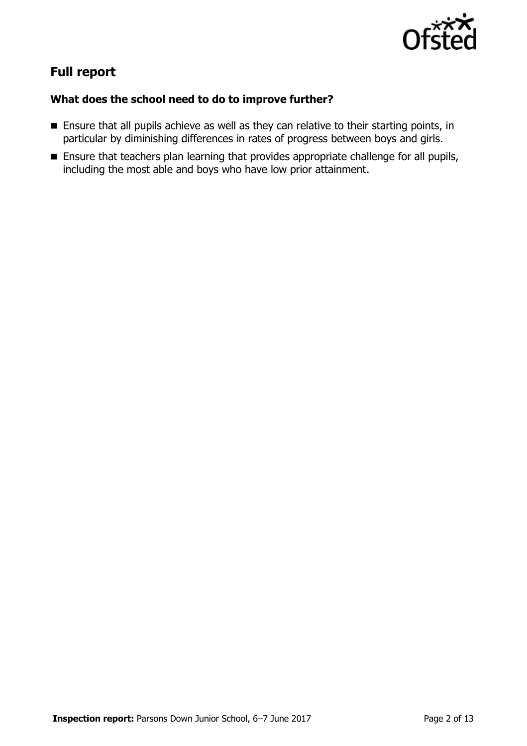

# **Full report**

## **What does the school need to do to improve further?**

- Ensure that all pupils achieve as well as they can relative to their starting points, in particular by diminishing differences in rates of progress between boys and girls.
- **Ensure that teachers plan learning that provides appropriate challenge for all pupils,** including the most able and boys who have low prior attainment.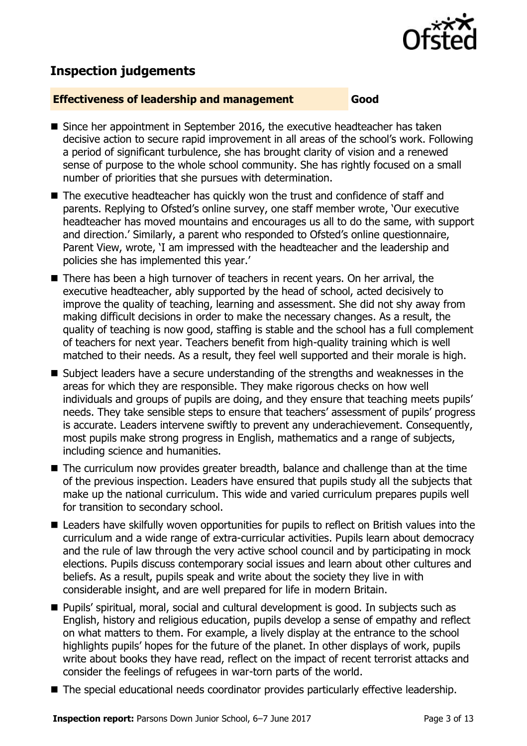

## **Inspection judgements**

#### **Effectiveness of leadership and management Good**

- Since her appointment in September 2016, the executive headteacher has taken decisive action to secure rapid improvement in all areas of the school's work. Following a period of significant turbulence, she has brought clarity of vision and a renewed sense of purpose to the whole school community. She has rightly focused on a small number of priorities that she pursues with determination.
- The executive headteacher has quickly won the trust and confidence of staff and parents. Replying to Ofsted's online survey, one staff member wrote, 'Our executive headteacher has moved mountains and encourages us all to do the same, with support and direction.' Similarly, a parent who responded to Ofsted's online questionnaire, Parent View, wrote, 'I am impressed with the headteacher and the leadership and policies she has implemented this year.'
- There has been a high turnover of teachers in recent years. On her arrival, the executive headteacher, ably supported by the head of school, acted decisively to improve the quality of teaching, learning and assessment. She did not shy away from making difficult decisions in order to make the necessary changes. As a result, the quality of teaching is now good, staffing is stable and the school has a full complement of teachers for next year. Teachers benefit from high-quality training which is well matched to their needs. As a result, they feel well supported and their morale is high.
- Subject leaders have a secure understanding of the strengths and weaknesses in the areas for which they are responsible. They make rigorous checks on how well individuals and groups of pupils are doing, and they ensure that teaching meets pupils' needs. They take sensible steps to ensure that teachers' assessment of pupils' progress is accurate. Leaders intervene swiftly to prevent any underachievement. Consequently, most pupils make strong progress in English, mathematics and a range of subjects, including science and humanities.
- The curriculum now provides greater breadth, balance and challenge than at the time of the previous inspection. Leaders have ensured that pupils study all the subjects that make up the national curriculum. This wide and varied curriculum prepares pupils well for transition to secondary school.
- Leaders have skilfully woven opportunities for pupils to reflect on British values into the curriculum and a wide range of extra-curricular activities. Pupils learn about democracy and the rule of law through the very active school council and by participating in mock elections. Pupils discuss contemporary social issues and learn about other cultures and beliefs. As a result, pupils speak and write about the society they live in with considerable insight, and are well prepared for life in modern Britain.
- Pupils' spiritual, moral, social and cultural development is good. In subjects such as English, history and religious education, pupils develop a sense of empathy and reflect on what matters to them. For example, a lively display at the entrance to the school highlights pupils' hopes for the future of the planet. In other displays of work, pupils write about books they have read, reflect on the impact of recent terrorist attacks and consider the feelings of refugees in war-torn parts of the world.
- The special educational needs coordinator provides particularly effective leadership.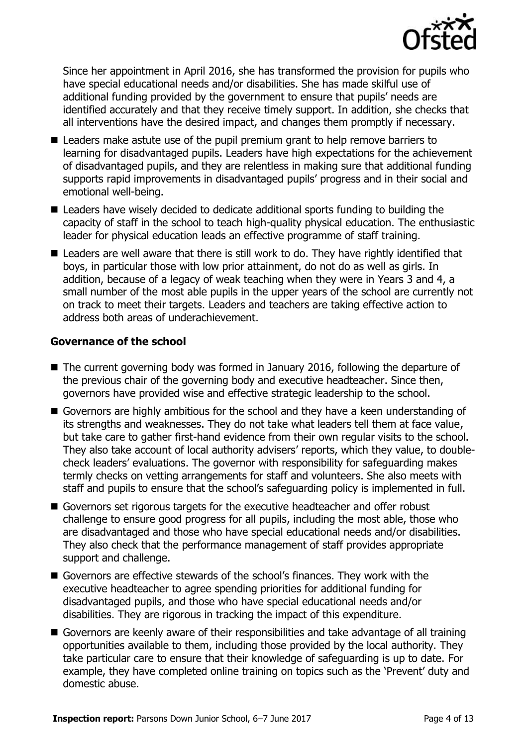

Since her appointment in April 2016, she has transformed the provision for pupils who have special educational needs and/or disabilities. She has made skilful use of additional funding provided by the government to ensure that pupils' needs are identified accurately and that they receive timely support. In addition, she checks that all interventions have the desired impact, and changes them promptly if necessary.

- Leaders make astute use of the pupil premium grant to help remove barriers to learning for disadvantaged pupils. Leaders have high expectations for the achievement of disadvantaged pupils, and they are relentless in making sure that additional funding supports rapid improvements in disadvantaged pupils' progress and in their social and emotional well-being.
- Leaders have wisely decided to dedicate additional sports funding to building the capacity of staff in the school to teach high-quality physical education. The enthusiastic leader for physical education leads an effective programme of staff training.
- Leaders are well aware that there is still work to do. They have rightly identified that boys, in particular those with low prior attainment, do not do as well as girls. In addition, because of a legacy of weak teaching when they were in Years 3 and 4, a small number of the most able pupils in the upper years of the school are currently not on track to meet their targets. Leaders and teachers are taking effective action to address both areas of underachievement.

#### **Governance of the school**

- The current governing body was formed in January 2016, following the departure of the previous chair of the governing body and executive headteacher. Since then, governors have provided wise and effective strategic leadership to the school.
- Governors are highly ambitious for the school and they have a keen understanding of its strengths and weaknesses. They do not take what leaders tell them at face value, but take care to gather first-hand evidence from their own regular visits to the school. They also take account of local authority advisers' reports, which they value, to doublecheck leaders' evaluations. The governor with responsibility for safeguarding makes termly checks on vetting arrangements for staff and volunteers. She also meets with staff and pupils to ensure that the school's safeguarding policy is implemented in full.
- Governors set rigorous targets for the executive headteacher and offer robust challenge to ensure good progress for all pupils, including the most able, those who are disadvantaged and those who have special educational needs and/or disabilities. They also check that the performance management of staff provides appropriate support and challenge.
- Governors are effective stewards of the school's finances. They work with the executive headteacher to agree spending priorities for additional funding for disadvantaged pupils, and those who have special educational needs and/or disabilities. They are rigorous in tracking the impact of this expenditure.
- Governors are keenly aware of their responsibilities and take advantage of all training opportunities available to them, including those provided by the local authority. They take particular care to ensure that their knowledge of safeguarding is up to date. For example, they have completed online training on topics such as the 'Prevent' duty and domestic abuse.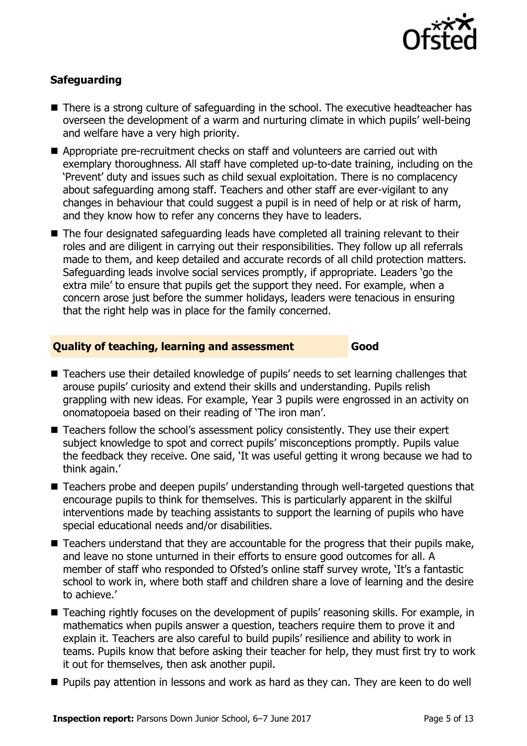

## **Safeguarding**

- There is a strong culture of safeguarding in the school. The executive headteacher has overseen the development of a warm and nurturing climate in which pupils' well-being and welfare have a very high priority.
- Appropriate pre-recruitment checks on staff and volunteers are carried out with exemplary thoroughness. All staff have completed up-to-date training, including on the 'Prevent' duty and issues such as child sexual exploitation. There is no complacency about safeguarding among staff. Teachers and other staff are ever-vigilant to any changes in behaviour that could suggest a pupil is in need of help or at risk of harm, and they know how to refer any concerns they have to leaders.
- The four designated safeguarding leads have completed all training relevant to their roles and are diligent in carrying out their responsibilities. They follow up all referrals made to them, and keep detailed and accurate records of all child protection matters. Safeguarding leads involve social services promptly, if appropriate. Leaders 'go the extra mile' to ensure that pupils get the support they need. For example, when a concern arose just before the summer holidays, leaders were tenacious in ensuring that the right help was in place for the family concerned.

#### **Quality of teaching, learning and assessment Good**

- Teachers use their detailed knowledge of pupils' needs to set learning challenges that arouse pupils' curiosity and extend their skills and understanding. Pupils relish grappling with new ideas. For example, Year 3 pupils were engrossed in an activity on onomatopoeia based on their reading of 'The iron man'.
- Teachers follow the school's assessment policy consistently. They use their expert subject knowledge to spot and correct pupils' misconceptions promptly. Pupils value the feedback they receive. One said, 'It was useful getting it wrong because we had to think again.'
- Teachers probe and deepen pupils' understanding through well-targeted questions that encourage pupils to think for themselves. This is particularly apparent in the skilful interventions made by teaching assistants to support the learning of pupils who have special educational needs and/or disabilities.
- Teachers understand that they are accountable for the progress that their pupils make, and leave no stone unturned in their efforts to ensure good outcomes for all. A member of staff who responded to Ofsted's online staff survey wrote, 'It's a fantastic school to work in, where both staff and children share a love of learning and the desire to achieve.'
- Teaching rightly focuses on the development of pupils' reasoning skills. For example, in mathematics when pupils answer a question, teachers require them to prove it and explain it. Teachers are also careful to build pupils' resilience and ability to work in teams. Pupils know that before asking their teacher for help, they must first try to work it out for themselves, then ask another pupil.
- **Pupils pay attention in lessons and work as hard as they can. They are keen to do well**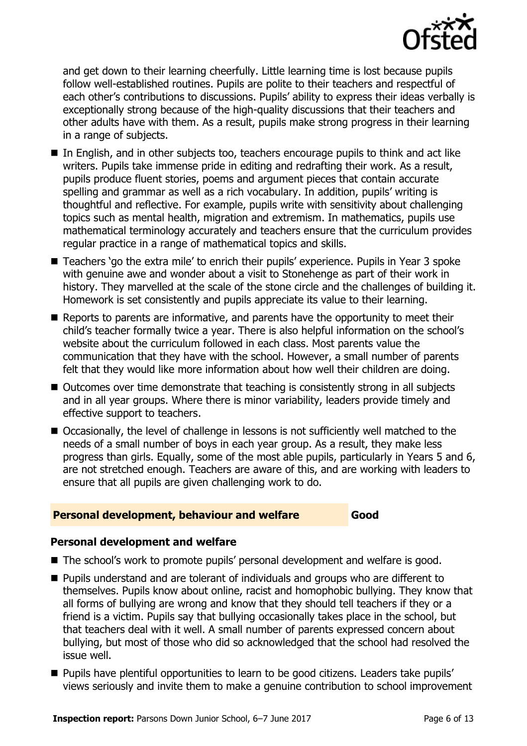

and get down to their learning cheerfully. Little learning time is lost because pupils follow well-established routines. Pupils are polite to their teachers and respectful of each other's contributions to discussions. Pupils' ability to express their ideas verbally is exceptionally strong because of the high-quality discussions that their teachers and other adults have with them. As a result, pupils make strong progress in their learning in a range of subjects.

- In English, and in other subjects too, teachers encourage pupils to think and act like writers. Pupils take immense pride in editing and redrafting their work. As a result, pupils produce fluent stories, poems and argument pieces that contain accurate spelling and grammar as well as a rich vocabulary. In addition, pupils' writing is thoughtful and reflective. For example, pupils write with sensitivity about challenging topics such as mental health, migration and extremism. In mathematics, pupils use mathematical terminology accurately and teachers ensure that the curriculum provides regular practice in a range of mathematical topics and skills.
- Teachers 'go the extra mile' to enrich their pupils' experience. Pupils in Year 3 spoke with genuine awe and wonder about a visit to Stonehenge as part of their work in history. They marvelled at the scale of the stone circle and the challenges of building it. Homework is set consistently and pupils appreciate its value to their learning.
- Reports to parents are informative, and parents have the opportunity to meet their child's teacher formally twice a year. There is also helpful information on the school's website about the curriculum followed in each class. Most parents value the communication that they have with the school. However, a small number of parents felt that they would like more information about how well their children are doing.
- Outcomes over time demonstrate that teaching is consistently strong in all subjects and in all year groups. Where there is minor variability, leaders provide timely and effective support to teachers.
- Occasionally, the level of challenge in lessons is not sufficiently well matched to the needs of a small number of boys in each year group. As a result, they make less progress than girls. Equally, some of the most able pupils, particularly in Years 5 and 6, are not stretched enough. Teachers are aware of this, and are working with leaders to ensure that all pupils are given challenging work to do.

#### **Personal development, behaviour and welfare Good**

#### **Personal development and welfare**

- The school's work to promote pupils' personal development and welfare is good.
- **Pupils understand and are tolerant of individuals and groups who are different to** themselves. Pupils know about online, racist and homophobic bullying. They know that all forms of bullying are wrong and know that they should tell teachers if they or a friend is a victim. Pupils say that bullying occasionally takes place in the school, but that teachers deal with it well. A small number of parents expressed concern about bullying, but most of those who did so acknowledged that the school had resolved the issue well.
- **Pupils have plentiful opportunities to learn to be good citizens. Leaders take pupils'** views seriously and invite them to make a genuine contribution to school improvement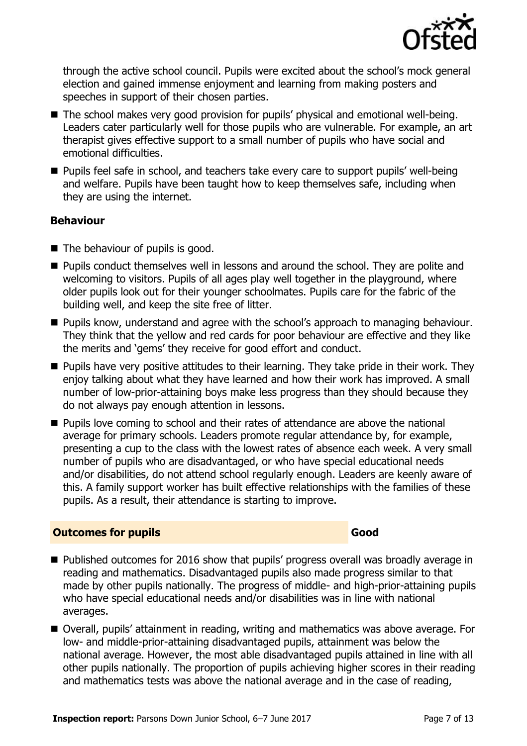

through the active school council. Pupils were excited about the school's mock general election and gained immense enjoyment and learning from making posters and speeches in support of their chosen parties.

- The school makes very good provision for pupils' physical and emotional well-being. Leaders cater particularly well for those pupils who are vulnerable. For example, an art therapist gives effective support to a small number of pupils who have social and emotional difficulties.
- Pupils feel safe in school, and teachers take every care to support pupils' well-being and welfare. Pupils have been taught how to keep themselves safe, including when they are using the internet.

#### **Behaviour**

- The behaviour of pupils is good.
- **Pupils conduct themselves well in lessons and around the school. They are polite and** welcoming to visitors. Pupils of all ages play well together in the playground, where older pupils look out for their younger schoolmates. Pupils care for the fabric of the building well, and keep the site free of litter.
- **Pupils know, understand and agree with the school's approach to managing behaviour.** They think that the yellow and red cards for poor behaviour are effective and they like the merits and 'gems' they receive for good effort and conduct.
- $\blacksquare$  Pupils have very positive attitudes to their learning. They take pride in their work. They enjoy talking about what they have learned and how their work has improved. A small number of low-prior-attaining boys make less progress than they should because they do not always pay enough attention in lessons.
- **Pupils love coming to school and their rates of attendance are above the national** average for primary schools. Leaders promote regular attendance by, for example, presenting a cup to the class with the lowest rates of absence each week. A very small number of pupils who are disadvantaged, or who have special educational needs and/or disabilities, do not attend school regularly enough. Leaders are keenly aware of this. A family support worker has built effective relationships with the families of these pupils. As a result, their attendance is starting to improve.

## **Outcomes for pupils Good**

- Published outcomes for 2016 show that pupils' progress overall was broadly average in reading and mathematics. Disadvantaged pupils also made progress similar to that made by other pupils nationally. The progress of middle- and high-prior-attaining pupils who have special educational needs and/or disabilities was in line with national averages.
- Overall, pupils' attainment in reading, writing and mathematics was above average. For low- and middle-prior-attaining disadvantaged pupils, attainment was below the national average. However, the most able disadvantaged pupils attained in line with all other pupils nationally. The proportion of pupils achieving higher scores in their reading and mathematics tests was above the national average and in the case of reading,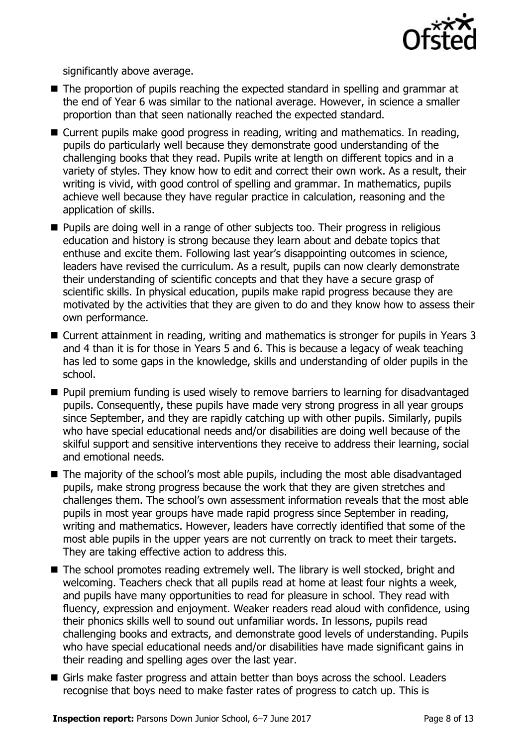

significantly above average.

- The proportion of pupils reaching the expected standard in spelling and grammar at the end of Year 6 was similar to the national average. However, in science a smaller proportion than that seen nationally reached the expected standard.
- Current pupils make good progress in reading, writing and mathematics. In reading, pupils do particularly well because they demonstrate good understanding of the challenging books that they read. Pupils write at length on different topics and in a variety of styles. They know how to edit and correct their own work. As a result, their writing is vivid, with good control of spelling and grammar. In mathematics, pupils achieve well because they have regular practice in calculation, reasoning and the application of skills.
- Pupils are doing well in a range of other subjects too. Their progress in religious education and history is strong because they learn about and debate topics that enthuse and excite them. Following last year's disappointing outcomes in science, leaders have revised the curriculum. As a result, pupils can now clearly demonstrate their understanding of scientific concepts and that they have a secure grasp of scientific skills. In physical education, pupils make rapid progress because they are motivated by the activities that they are given to do and they know how to assess their own performance.
- Current attainment in reading, writing and mathematics is stronger for pupils in Years 3 and 4 than it is for those in Years 5 and 6. This is because a legacy of weak teaching has led to some gaps in the knowledge, skills and understanding of older pupils in the school.
- **Pupil premium funding is used wisely to remove barriers to learning for disadvantaged** pupils. Consequently, these pupils have made very strong progress in all year groups since September, and they are rapidly catching up with other pupils. Similarly, pupils who have special educational needs and/or disabilities are doing well because of the skilful support and sensitive interventions they receive to address their learning, social and emotional needs.
- The majority of the school's most able pupils, including the most able disadvantaged pupils, make strong progress because the work that they are given stretches and challenges them. The school's own assessment information reveals that the most able pupils in most year groups have made rapid progress since September in reading, writing and mathematics. However, leaders have correctly identified that some of the most able pupils in the upper years are not currently on track to meet their targets. They are taking effective action to address this.
- The school promotes reading extremely well. The library is well stocked, bright and welcoming. Teachers check that all pupils read at home at least four nights a week, and pupils have many opportunities to read for pleasure in school. They read with fluency, expression and enjoyment. Weaker readers read aloud with confidence, using their phonics skills well to sound out unfamiliar words. In lessons, pupils read challenging books and extracts, and demonstrate good levels of understanding. Pupils who have special educational needs and/or disabilities have made significant gains in their reading and spelling ages over the last year.
- Girls make faster progress and attain better than boys across the school. Leaders recognise that boys need to make faster rates of progress to catch up. This is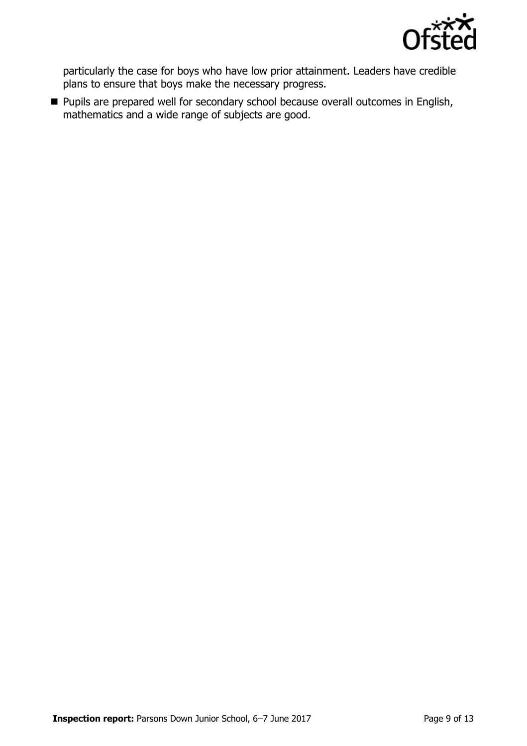

particularly the case for boys who have low prior attainment. Leaders have credible plans to ensure that boys make the necessary progress.

**Pupils are prepared well for secondary school because overall outcomes in English,** mathematics and a wide range of subjects are good.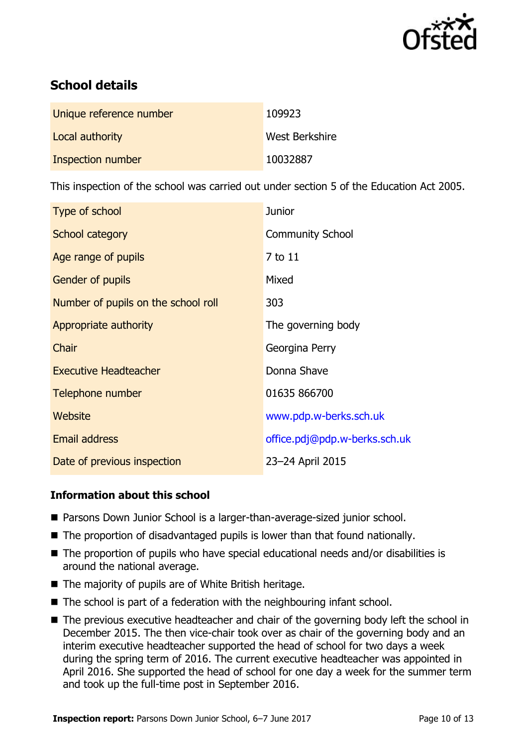

# **School details**

| Unique reference number | 109923         |
|-------------------------|----------------|
| Local authority         | West Berkshire |
| Inspection number       | 10032887       |

This inspection of the school was carried out under section 5 of the Education Act 2005.

| Type of school                      | <b>Junior</b>                 |  |
|-------------------------------------|-------------------------------|--|
| School category                     | <b>Community School</b>       |  |
| Age range of pupils                 | 7 to 11                       |  |
| <b>Gender of pupils</b>             | Mixed                         |  |
| Number of pupils on the school roll | 303                           |  |
| Appropriate authority               | The governing body            |  |
| Chair                               | Georgina Perry                |  |
| <b>Executive Headteacher</b>        | Donna Shave                   |  |
| Telephone number                    | 01635 866700                  |  |
| Website                             | www.pdp.w-berks.sch.uk        |  |
| <b>Email address</b>                | office.pdj@pdp.w-berks.sch.uk |  |
| Date of previous inspection         | 23-24 April 2015              |  |

## **Information about this school**

- Parsons Down Junior School is a larger-than-average-sized junior school.
- The proportion of disadvantaged pupils is lower than that found nationally.
- The proportion of pupils who have special educational needs and/or disabilities is around the national average.
- $\blacksquare$  The majority of pupils are of White British heritage.
- $\blacksquare$  The school is part of a federation with the neighbouring infant school.
- The previous executive headteacher and chair of the governing body left the school in December 2015. The then vice-chair took over as chair of the governing body and an interim executive headteacher supported the head of school for two days a week during the spring term of 2016. The current executive headteacher was appointed in April 2016. She supported the head of school for one day a week for the summer term and took up the full-time post in September 2016.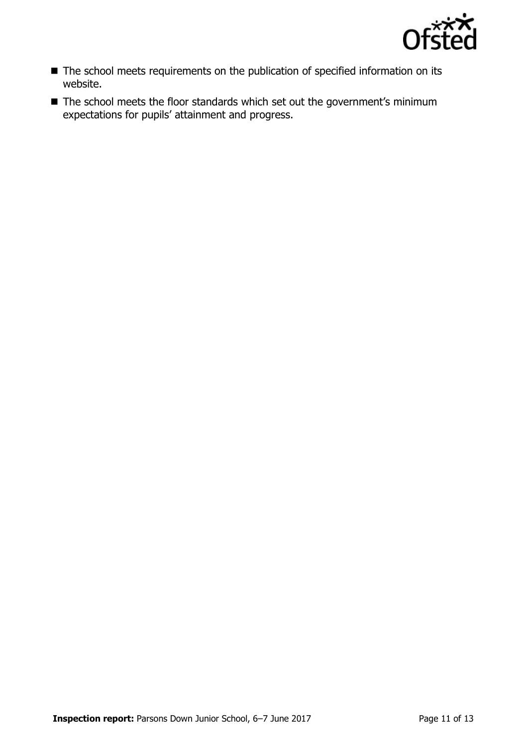

- The school meets requirements on the publication of specified information on its website.
- The school meets the floor standards which set out the government's minimum expectations for pupils' attainment and progress.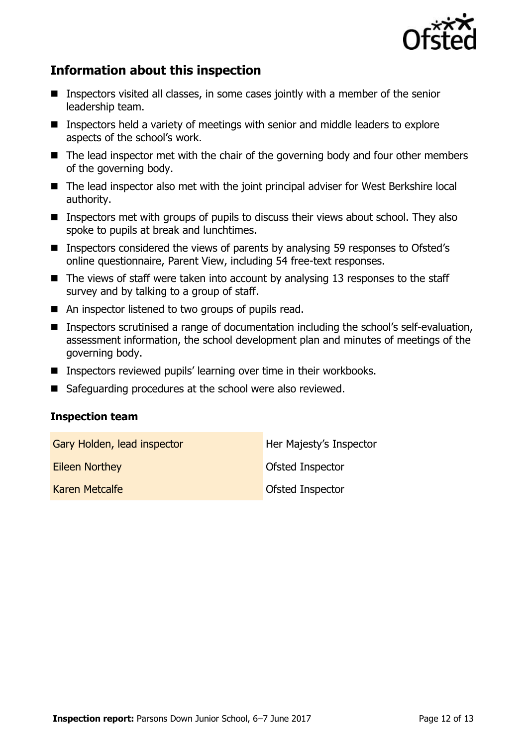

## **Information about this inspection**

- Inspectors visited all classes, in some cases jointly with a member of the senior leadership team.
- Inspectors held a variety of meetings with senior and middle leaders to explore aspects of the school's work.
- The lead inspector met with the chair of the governing body and four other members of the governing body.
- The lead inspector also met with the joint principal adviser for West Berkshire local authority.
- **Inspectors met with groups of pupils to discuss their views about school. They also** spoke to pupils at break and lunchtimes.
- Inspectors considered the views of parents by analysing 59 responses to Ofsted's online questionnaire, Parent View, including 54 free-text responses.
- $\blacksquare$  The views of staff were taken into account by analysing 13 responses to the staff survey and by talking to a group of staff.
- An inspector listened to two groups of pupils read.
- Inspectors scrutinised a range of documentation including the school's self-evaluation, assessment information, the school development plan and minutes of meetings of the governing body.
- Inspectors reviewed pupils' learning over time in their workbooks.
- Safeguarding procedures at the school were also reviewed.

#### **Inspection team**

| Gary Holden, lead inspector | Her Majesty's Inspector |
|-----------------------------|-------------------------|
| <b>Eileen Northey</b>       | <b>Ofsted Inspector</b> |
| Karen Metcalfe              | <b>Ofsted Inspector</b> |